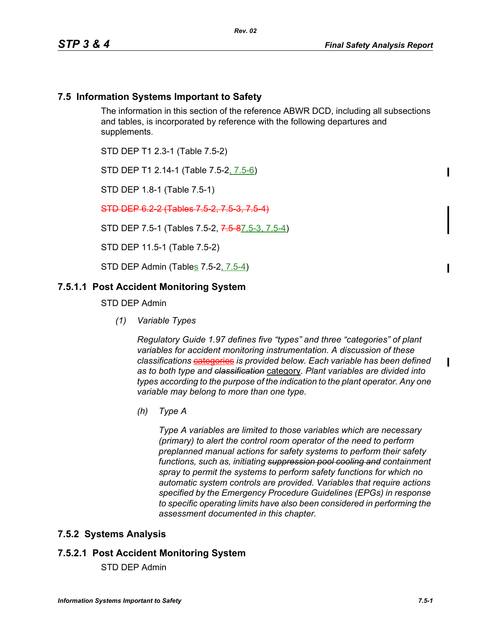# **7.5 Information Systems Important to Safety**

The information in this section of the reference ABWR DCD, including all subsections and tables, is incorporated by reference with the following departures and supplements.

STD DEP T1 2.3-1 (Table 7.5-2)

STD DEP T1 2.14-1 (Table 7.5-2, 7.5-6)

STD DEP 1.8-1 (Table 7.5-1)

STD DEP 6.2-2 (Tables 7.5-2, 7.5-3, 7.5-4)

STD DEP 7.5-1 (Tables 7.5-2, 7.5-87.5-3, 7.5-4)

STD DEP 11.5-1 (Table 7.5-2)

STD DEP Admin (Tables 7.5-2, 7.5-4)

# **7.5.1.1 Post Accident Monitoring System**

STD DEP Admin

*(1) Variable Types*

*Regulatory Guide 1.97 defines five "types" and three "categories" of plant variables for accident monitoring instrumentation. A discussion of these classifications* categories *is provided below. Each variable has been defined as to both type and classification* category*. Plant variables are divided into types according to the purpose of the indication to the plant operator. Any one variable may belong to more than one type.*

*(h) Type A*

*Type A variables are limited to those variables which are necessary (primary) to alert the control room operator of the need to perform preplanned manual actions for safety systems to perform their safety functions, such as, initiating suppression pool cooling and containment spray to permit the systems to perform safety functions for which no automatic system controls are provided. Variables that require actions specified by the Emergency Procedure Guidelines (EPGs) in response to specific operating limits have also been considered in performing the assessment documented in this chapter.*

### **7.5.2 Systems Analysis**

# **7.5.2.1 Post Accident Monitoring System**

STD DEP Admin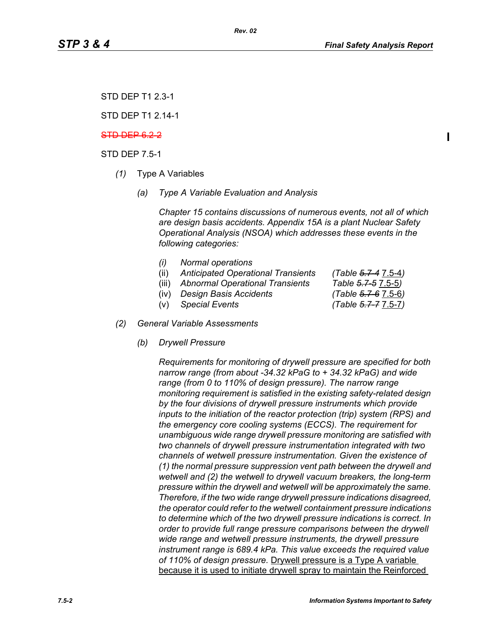$\mathbf I$ 

STD DEP T1 2.14-1

STD DEP 6.2-2

STD DEP 7.5-1

- *(1)* Type A Variables
	- *(a) Type A Variable Evaluation and Analysis*

*Chapter 15 contains discussions of numerous events, not all of which are design basis accidents. Appendix 15A is a plant Nuclear Safety Operational Analysis (NSOA) which addresses these events in the following categories:*

- *(i) Normal operations*
- (ii) *Anticipated Operational Transients (Table 5.7-4* 7.5-4*)*
- (iii) *Abnormal Operational Transients Table 5.7-5* 7.5-5*)*
- (iv) *Design Basis Accidents (Table 5.7-6* 7.5-6*)*
- (v) *Special Events (Table 5.7-7* 7.5-7*)*
- 

- *(2) General Variable Assessments*
	- *(b) Drywell Pressure*

*Requirements for monitoring of drywell pressure are specified for both narrow range (from about -34.32 kPaG to + 34.32 kPaG) and wide range (from 0 to 110% of design pressure). The narrow range monitoring requirement is satisfied in the existing safety-related design by the four divisions of drywell pressure instruments which provide inputs to the initiation of the reactor protection (trip) system (RPS) and the emergency core cooling systems (ECCS). The requirement for unambiguous wide range drywell pressure monitoring are satisfied with two channels of drywell pressure instrumentation integrated with two channels of wetwell pressure instrumentation. Given the existence of (1) the normal pressure suppression vent path between the drywell and wetwell and (2) the wetwell to drywell vacuum breakers, the long-term pressure within the drywell and wetwell will be approximately the same. Therefore, if the two wide range drywell pressure indications disagreed, the operator could refer to the wetwell containment pressure indications to determine which of the two drywell pressure indications is correct. In order to provide full range pressure comparisons between the drywell wide range and wetwell pressure instruments, the drywell pressure instrument range is 689.4 kPa. This value exceeds the required value of 110% of design pressure.* Drywell pressure is a Type A variable because it is used to initiate drywell spray to maintain the Reinforced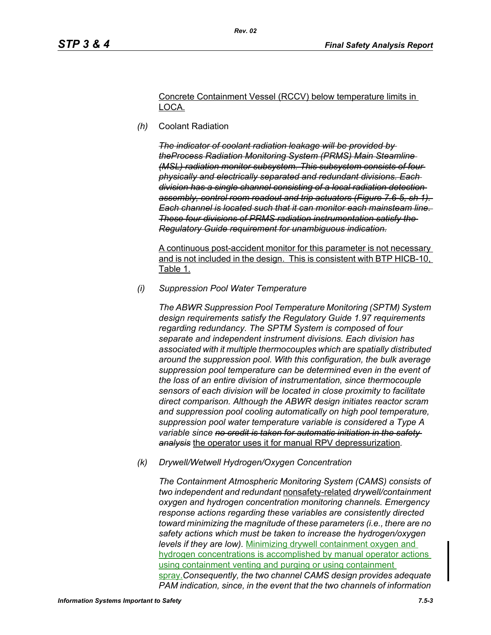### Concrete Containment Vessel (RCCV) below temperature limits in LOCA.

*(h)* Coolant Radiation

*The indicator of coolant radiation leakage will be provided by theProcess Radiation Monitoring System (PRMS) Main Steamline (MSL) radiation monitor subsystem. This subsystem consists of four physically and electrically separated and redundant divisions. Each division has a single channel consisting of a local radiation detection assembly, control room readout and trip actuators (Figure 7.6-5, sh 1). Each channel is located such that it can monitor each mainsteam line. These four divisions of PRMS radiation instrumentation satisfy the Regulatory Guide requirement for unambiguous indication.*

A continuous post-accident monitor for this parameter is not necessary and is not included in the design. This is consistent with BTP HICB-10, Table 1.

*(i) Suppression Pool Water Temperature*

*The ABWR Suppression Pool Temperature Monitoring (SPTM) System design requirements satisfy the Regulatory Guide 1.97 requirements regarding redundancy. The SPTM System is composed of four separate and independent instrument divisions. Each division has associated with it multiple thermocouples which are spatially distributed around the suppression pool. With this configuration, the bulk average suppression pool temperature can be determined even in the event of the loss of an entire division of instrumentation, since thermocouple sensors of each division will be located in close proximity to facilitate direct comparison. Although the ABWR design initiates reactor scram and suppression pool cooling automatically on high pool temperature, suppression pool water temperature variable is considered a Type A variable since no credit is taken for automatic initiation in the safety analysis* the operator uses it for manual RPV depressurization*.*

*(k) Drywell/Wetwell Hydrogen/Oxygen Concentration*

*The Containment Atmospheric Monitoring System (CAMS) consists of two independent and redundant* nonsafety-related *drywell/containment oxygen and hydrogen concentration monitoring channels. Emergency response actions regarding these variables are consistently directed toward minimizing the magnitude of these parameters (i.e., there are no safety actions which must be taken to increase the hydrogen/oxygen levels if they are low).* Minimizing drywell containment oxygen and hydrogen concentrations is accomplished by manual operator actions using containment venting and purging or using containment spray.*Consequently, the two channel CAMS design provides adequate PAM indication, since, in the event that the two channels of information*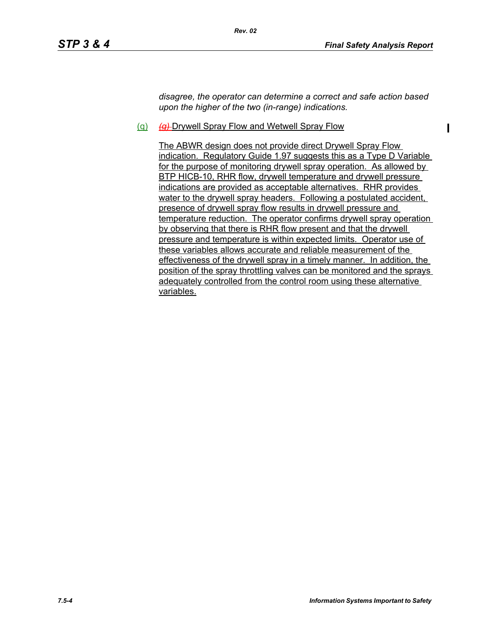$\mathbf I$ 

*disagree, the operator can determine a correct and safe action based upon the higher of the two (in-range) indications.*

### (q) *(g)* Drywell Spray Flow and Wetwell Spray Flow

*Rev. 02*

The ABWR design does not provide direct Drywell Spray Flow indication. Regulatory Guide 1.97 suggests this as a Type D Variable for the purpose of monitoring drywell spray operation. As allowed by BTP HICB-10, RHR flow, drywell temperature and drywell pressure indications are provided as acceptable alternatives. RHR provides water to the drywell spray headers. Following a postulated accident, presence of drywell spray flow results in drywell pressure and temperature reduction. The operator confirms drywell spray operation by observing that there is RHR flow present and that the drywell pressure and temperature is within expected limits. Operator use of these variables allows accurate and reliable measurement of the effectiveness of the drywell spray in a timely manner. In addition, the position of the spray throttling valves can be monitored and the sprays adequately controlled from the control room using these alternative variables.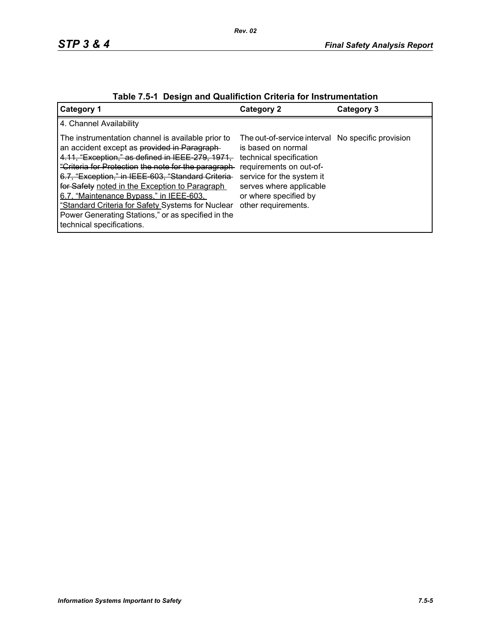| Table 7.5-1 Design and Qualifiction Criteria for Instrumentation |  |  |
|------------------------------------------------------------------|--|--|
|------------------------------------------------------------------|--|--|

| <b>Category 1</b>                                                                                                                                                                                                                                                                                                                                                                                                                                                                                        | <b>Category 2</b>                                                                                                                                                                                                                     | Category 3 |
|----------------------------------------------------------------------------------------------------------------------------------------------------------------------------------------------------------------------------------------------------------------------------------------------------------------------------------------------------------------------------------------------------------------------------------------------------------------------------------------------------------|---------------------------------------------------------------------------------------------------------------------------------------------------------------------------------------------------------------------------------------|------------|
| 4. Channel Availability                                                                                                                                                                                                                                                                                                                                                                                                                                                                                  |                                                                                                                                                                                                                                       |            |
| The instrumentation channel is available prior to<br>an accident except as provided in Paragraph-<br>4.11, "Exception," as defined in IEEE-279, 1971,<br>"Criteria for Protection the note for the paragraph-<br>6.7, "Exception," in IEEE-603, "Standard Criteria-<br>for Safety noted in the Exception to Paragraph<br>6.7, "Maintenance Bypass," in IEEE-603,<br>"Standard Criteria for Safety Systems for Nuclear<br>Power Generating Stations," or as specified in the<br>technical specifications. | The out-of-service interval No specific provision<br>is based on normal<br>technical specification<br>requirements on out-of-<br>service for the system it<br>serves where applicable<br>or where specified by<br>other requirements. |            |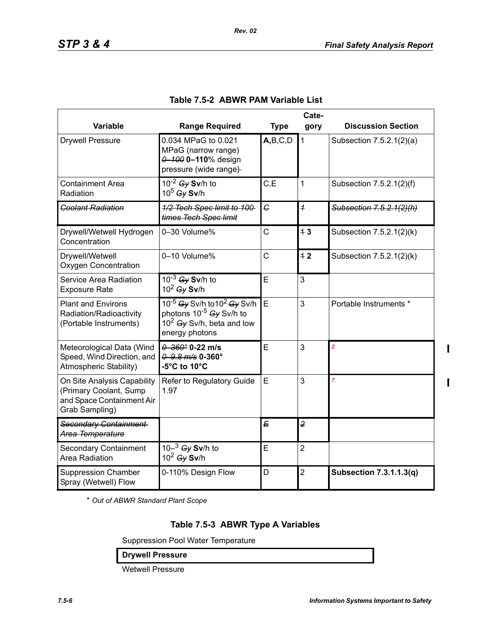|                                                                                                      | Cate-                                                                                                                        |             |                |                                |  |
|------------------------------------------------------------------------------------------------------|------------------------------------------------------------------------------------------------------------------------------|-------------|----------------|--------------------------------|--|
| <b>Variable</b>                                                                                      | <b>Range Required</b>                                                                                                        | <b>Type</b> | gory           | <b>Discussion Section</b>      |  |
| <b>Drywell Pressure</b>                                                                              | 0.034 MPaG to 0.021<br>MPaG (narrow range)<br>0-100 0-110% design<br>pressure (wide range)-                                  | A,B,C,D     | $\mathbf{1}$   | Subsection 7.5.2.1(2)(a)       |  |
| <b>Containment Area</b><br>Radiation                                                                 | $10^{-2}$ Gy Sv/h to<br>10 <sup>5</sup> Gy Sv/h                                                                              | C, E        | $\mathbf{1}$   | Subsection 7.5.2.1(2)(f)       |  |
| <b>Coolant Radiation</b>                                                                             | 1/2 Tech Spec limit to 100-<br>times Tech Spec limit                                                                         | C           | $\overline{1}$ | Subsection 7.5.2.1(2)(h)       |  |
| Drywell/Wetwell Hydrogen<br>Concentration                                                            | 0-30 Volume%                                                                                                                 | Ċ           | 43             | Subsection 7.5.2.1(2)(k)       |  |
| Drywell/Wetwell<br><b>Oxygen Concentration</b>                                                       | 0-10 Volume%                                                                                                                 | C           | 12             | Subsection 7.5.2.1(2)(k)       |  |
| Service Area Radiation<br><b>Exposure Rate</b>                                                       | $10^{-3}$ Gy Sv/h to<br>$10^2$ Gy Sv/h                                                                                       | E           | 3              |                                |  |
| <b>Plant and Environs</b><br>Radiation/Radioactivity<br>(Portable Instruments)                       | $10^{-5}$ Gy Sv/h to $10^2$ Gy Sv/h<br>photons 10 <sup>-5</sup> Gy Sv/h to<br>$10^2$ Gy Sv/h, beta and low<br>energy photons | E           | 3              | Portable Instruments *         |  |
| Meteorological Data (Wind<br>Speed, Wind Direction, and<br>Atmospheric Stability)                    | $0 - 360$ $0 - 22$ m/s<br>$0 - 9.8$ m/s 0-360 $^{\circ}$<br>$-5^{\circ}$ C to 10 $^{\circ}$ C                                | E           | 3              | ż                              |  |
| On Site Analysis Capability<br>(Primary Coolant, Sump<br>and Space Containment Air<br>Grab Sampling) | Refer to Regulatory Guide<br>1.97                                                                                            | E           | 3              | ż                              |  |
| <b>Secondary Containment</b><br>Area Temperature                                                     |                                                                                                                              | E           | $\overline{2}$ |                                |  |
| <b>Secondary Containment</b><br>Area Radiation                                                       | $10^{-3}$ Gy Sv/h to<br>$10^2$ Gy Sv/h                                                                                       | E           | $\overline{2}$ |                                |  |
| <b>Suppression Chamber</b><br>Spray (Wetwell) Flow                                                   | 0-110% Design Flow                                                                                                           | D           | $\overline{2}$ | <b>Subsection 7.3.1.1.3(q)</b> |  |

### **Table 7.5-2 ABWR PAM Variable List**

*Rev. 02*

\* *Out of ABWR Standard Plant Scope*

# **Table 7.5-3 ABWR Type A Variables**

Suppression Pool Water Temperature

#### **Drywell Pressure**

Wetwell Pressure

 $\blacksquare$ 

 $\blacksquare$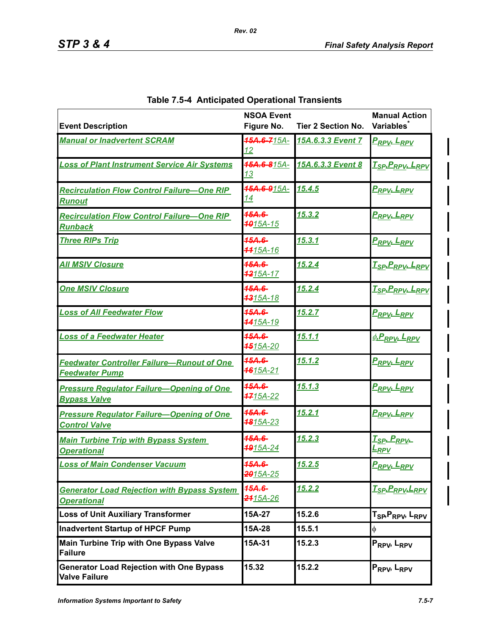| <b>Event Description</b>                                                   | <b>NSOA Event</b><br>Figure No.       | <b>Tier 2 Section No.</b> | <b>Manual Action</b><br>Variables <sup>*</sup>         |
|----------------------------------------------------------------------------|---------------------------------------|---------------------------|--------------------------------------------------------|
| <b>Manual or Inadvertent SCRAM</b>                                         | <b>45A.6-715A-</b><br>12              | 15A.6.3.3 Event 7         | <u> P<sub>RPV</sub>, L<sub>RPV</sub></u>               |
| <b>Loss of Plant Instrument Service Air Systems</b>                        | 45A.6-815A-<br><u>13</u>              | 15A.6.3.3 Event 8         | <u>T<sub>SP</sub>.P<sub>RPV</sub>. L<sub>RPV</sub></u> |
| <b>Recirculation Flow Control Failure-One RIP</b><br><b>Runout</b>         | 15A.6-915A-<br><u>14</u>              | 15.4.5                    | <u>P<sub>RPV</sub>, L<sub>RPV</sub></u>                |
| <b>Recirculation Flow Control Failure-One RIP</b><br><b>Runback</b>        | $45A.6 -$<br>4015A-15                 | 15.3.2                    | <u>P<sub>RPV</sub>. L<sub>RPV</sub></u>                |
| <b>Three RIPs Trip</b>                                                     | $45A.6 -$<br>4415A-16                 | 15.3.1                    | <u> P<sub>RPV</sub>. L<sub>RPV</sub></u>               |
| <b>All MSIV Closure</b>                                                    | $45A.6 -$<br>4215A-17                 | 15.2.4                    | <u>T<sub>SP</sub>.P<sub>RPV</sub>. L<sub>RPV</sub></u> |
| <b>One MSIV Closure</b>                                                    | $45A.6 -$<br>4315A-18                 | 15.2.4                    | <u>T<sub>SP</sub>.P<sub>RPV</sub>. L<sub>RPV</sub></u> |
| <b>Loss of All Feedwater Flow</b>                                          | $45A.6 -$<br>4415A-19                 | 15.2.7                    | <u> P<sub>RPV</sub>. L<sub>RPV</sub></u>               |
| <b>Loss of a Feedwater Heater</b>                                          | $45A.6 -$<br>4515A-20                 | 15.1.1                    | <u>ø.P<sub>RPV</sub>. L<sub>RPV</sub></u>              |
| <b>Feedwater Controller Failure-Runout of One</b><br><b>Feedwater Pump</b> | $45A.6 -$<br><b>46</b> 15A-21         | 15.1.2                    | <u> P<sub>RPV</sub>. L<sub>RPV</sub></u>               |
| <b>Pressure Regulator Failure-Opening of One</b><br><b>Bypass Valve</b>    | $45A.6 -$<br>4715A-22                 | 15.1.3                    | <u> P<sub>RPV</sub>. L<sub>RPV</sub></u>               |
| <b>Pressure Requlator Failure-Opening of One</b><br><b>Control Valve</b>   | $45A.6 -$<br>4815A-23                 | 15.2.1                    | <u> P<sub>RPV</sub>, L<sub>RPV</sub></u>               |
| <b>Main Turbine Trip with Bypass System</b><br><b>Operational</b>          | <b>45A.6-</b><br>4915A-24             | 15.2.3                    | <u>T<sub>SP</sub>. P<sub>RPV</sub>.</u><br>⊑rpv        |
| <b>Loss of Main Condenser Vacuum</b>                                       | <b>45A.6-</b><br>2015A-25             | 15.2.5                    | <u>P<sub>RPV</sub>. L<sub>RPV</sub></u>                |
| <b>Generator Load Rejection with Bypass System</b><br><b>Operational</b>   | <b>45A.6-</b><br>24 <sub>15A-26</sub> | <u>15.2.2</u>             | <u>T<sub>SP</sub>.P<sub>RPV</sub>.L<sub>RPV</sub></u>  |
| <b>Loss of Unit Auxiliary Transformer</b>                                  | 15A-27                                | 15.2.6                    | T <sub>SP</sub> , P <sub>RPV</sub> , L <sub>RPV</sub>  |
| <b>Inadvertent Startup of HPCF Pump</b>                                    | 15A-28                                | 15.5.1                    | φ                                                      |
| Main Turbine Trip with One Bypass Valve<br><b>Failure</b>                  | 15A-31                                | 15.2.3                    | P <sub>RPV</sub> , L <sub>RPV</sub>                    |
| <b>Generator Load Rejection with One Bypass</b><br><b>Valve Failure</b>    | 15.32                                 | 15.2.2                    | P <sub>RPV</sub> , L <sub>RPV</sub>                    |

| Table 7.5-4 Anticipated Operational Transients |  |  |
|------------------------------------------------|--|--|
|                                                |  |  |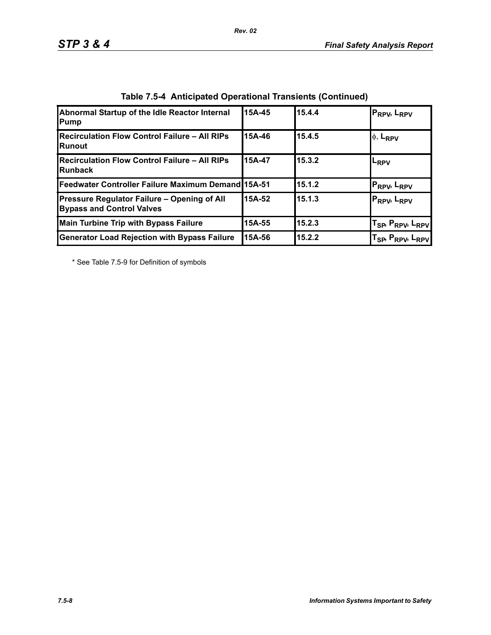| Abnormal Startup of the Idle Reactor Internal<br><b>Pump</b>                    | 15A-45 | 15.4.4 | PRPV, LRPV                                            |
|---------------------------------------------------------------------------------|--------|--------|-------------------------------------------------------|
| Recirculation Flow Control Failure - All RIPs<br><b>IRunout</b>                 | 15A-46 | 15.4.5 | $\phi$ , L <sub>RPV</sub>                             |
| Recirculation Flow Control Failure - All RIPs<br><b>IRunback</b>                | 15A-47 | 15.3.2 | LRPV                                                  |
| Feedwater Controller Failure Maximum Demand 15A-51                              |        | 15.1.2 | P <sub>RPV</sub> , L <sub>RPV</sub>                   |
| Pressure Regulator Failure - Opening of All<br><b>Bypass and Control Valves</b> | 15A-52 | 15.1.3 | P <sub>RPV</sub> , L <sub>RPV</sub>                   |
| <b>Main Turbine Trip with Bypass Failure</b>                                    | 15A-55 | 15.2.3 | T <sub>SP</sub> , P <sub>RPV</sub> , L <sub>RPV</sub> |
| <b>Generator Load Rejection with Bypass Failure</b>                             | 15A-56 | 15.2.2 | T <sub>SP</sub> , P <sub>RPV</sub> , L <sub>RPV</sub> |

|  | Table 7.5-4 Anticipated Operational Transients (Continued) |  |  |  |
|--|------------------------------------------------------------|--|--|--|
|--|------------------------------------------------------------|--|--|--|

\* See Table 7.5-9 for Definition of symbols